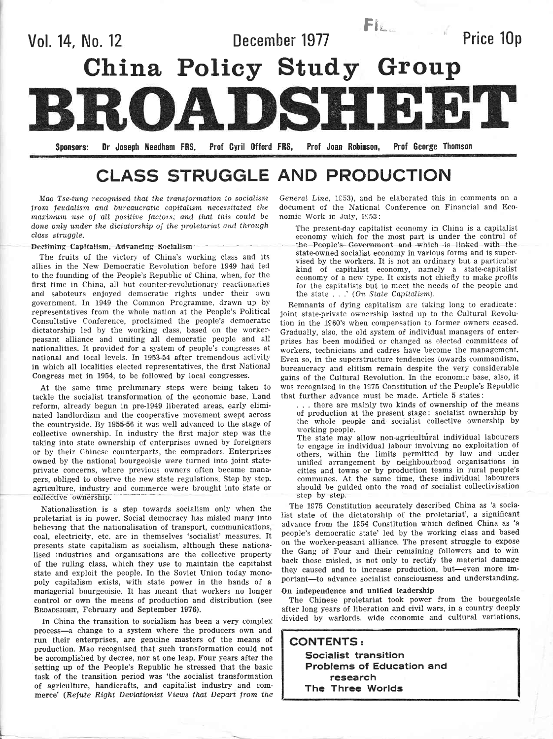

# CLASS STRUGGLE AND PRODUCTION

Mao Tse-tung recognised that the transformation to socialism from feudalism and bureaucratic capitalism necessitated the maximum use of all positive factors; and that this could be done only under the dictatorship of the proletariat and through class struggle.

### Declining Capitalism, Advancing Socialism

The fruits of the victory of China's working class and its allies in the New Democratic Revolution before 1949 had led to the founding of the People's Repubiic of China, when, for the first time in China, all but counter-revolutionary reactionaries and saboteurs enjoyed democratic rights under their own government. In 1949 the Common Programme, drawn up by representatives from the whole nation at the People's Political Consultative Conference, proclaimed the people's democratic dictatorship led by the working class, based on the workerpeasant alliance and uniting all democratic people and all nationalities. It provided for a system of people's congresses at national and local levels. In 1953-54 after tremendous activity in which all localities elected representatives, the first National Congress met in 1954, to be followed by locai congresses.

At the same time preliminary steps were being taken to tackle the socialist transformation of the economic base. Land reform, already begun in pre-1949 liberated areas, early elimi nated landlordism and the cooperative movement swept across the countryside. By 1955-56 it was well advanced to the stage of collective ownership. In industry the first major step was the taking into state ownership of enterprises owned by foreigners or by their Chinese counterparts, the compradors. Enterprises owned by the national bourgeoisie were turned into joint stateprivate concerns, where previous owners often became mana' gers, obliged to observe the new state regulations. Step by step. agriculture, industry and commerce were brought into state or collective ownership.

Nationalisation is a step towards socialism oniy when the proletariat is in power. Social democracy has misled many into believing that the nationalisation of transport, communications, coal, electricity, etc. are in themselves 'socialist' measures. It presents state capitalism as socialism, although these nationalised industries and organisations are the collective property of the ruling class, which they use to maintain the capitalist state and exploit the people. In the Soviet Union today monopoly capitalism exists, with state power in the hands of <sup>a</sup> manageriai bourgeoisie. It has meant that workers no longer control or own the means of production and distribution (see BROADSHEET, February and September 1976).

In China the transition to socialism has been a very complex process-a change to a system where the producers own and run their enterprises, are genuine masters of the means of production. Mao recognised that such transformation could not be accomplished by decree, nor at one leap. Four years after the setting up of the People's Republic he stressed that the basic task of the transition period was 'the socialist transformation of agriculture, handicrafts, and capitalist industry and commerce' (Refute Right Deviationist Views that Depart from the

I

General Line, 1953), and he elaborated this in comments on a document of the National Conference on Financial and Economic Work in July, 1953:

The present-day capitalist economy in China is a capitalist economy which for the most part is under the control of the People's Government and which is linked with the state-owned socialist economy in various forms and is supervised by the workers. It is not an ordinary but a particular kind of capitalist economy, namely a state-capitalist economy of a new type. It exists not chiefly to make profits for the capitalists but to meet the needs of the people and the state  $\ldots$  ' (On State Capitalism).

Remnants of dying capitalism are taking long to eradicate: joint state-private ownership lasted up to the Cultural Revolution in the 1960's when compensation to former owners ceased. Gradually, also, the old system of individual managers of enterprises has been modified or changed as elected committees of workers, technicians and cadres have become the management. Even so, in the superstructure tendencies towards commandism, bureaucracy and elitism remain despite the very considerable gains of the Cultural Revolution. In the economic base, also, it was recognised in the 1975 Constitution of the People's Republic that further advance must be made. Article 5 states:

... there are mainly two kinds of ownership of the means of production at the present stage: socialist ownership by the whole people and socialist collective ownership by working people.

The state may allow non-agricultural individual labourers to engage in individual labour involving no exploitation of others, within the limits permitted by law and under unified. arrangement by neighbourhocd organisations in cities and towns or by production teams in rural people's comrnunes. At the sarne time, these individual labourers should be guided onto the road of socialist collectivisation step by step.

The 1975 Constitution accurately described China as 'a socia' list state of the dictatorship of the proletariat', a significant advance from the 1954 Constitution which defined China as 'a people's democratic state' Ied by the working class and based on the worker-peasant alliance. The present struggle to expose the Gang of Four and their remaining followers and to win back those misled, is not only to rectify the material damage they caused and to increase production, but-even more important-to advance socialist consciousness and understanding.

### On independence and unified leadership

The Chinese proletariat took power from the bourgeoisie after long years of liberation and civil wars, in a country deeply divided by warlords, wide economic and cultural variations,

CONTENTS: Socialist transition Problems of Education and research The Three Worlds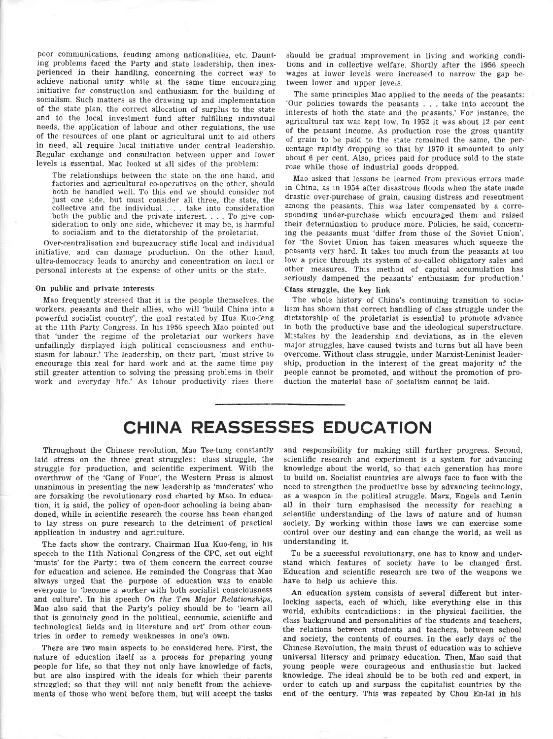poor communications, feuding among nationalities, etc. Daunting problems faced the Party and state leadership, then inexperienced in their handling, concerning the correct way to achieve national unity while at the same time encouraging initiative for construction and enthusiasm for the building of socialism. Such matters as the drawing up and implementation of the state plan, the correct allocation of surplus to the state and to the local investment fund after fulfilling individual needs, the application of labour and other regulations, the use of the resources of one plant or agricultural unit to aid others in need, all require local initiative under central leadership. Regular exchange and consultation between upper and lower levels is essential. Mao looked at all sides of the problem:

The relationships between the state on the one hand, and factories and agricultural co-operatives on the other, should both be handled well. To this end we should consider not just one side, but must consider ali three, the state, the collective and the individual . . . take into consideration both the public and the private interest.  $\ldots$  To give consideration to only one side, whichever it may be, is harmful to sociaiism and to the dictatorship of the proletariat.

Over-centralisation and bureaucracy stifle local and individual initiative, and can damage production. On the other hand, ultra-democracy leads to anarchy and concentration on local or personal interests at the expense of other units or the state.

### On public and private interests

Mao frequently stressed that it is the people themselves, the workers, peasants and their allies, who will 'build China into a powerful socialist country', the goal restated by Hua Kuo-feng at the 11th Party Congress. In his 1956 speech Mao pointed out that 'under the regime of the proletariat our workers have unfailingly displayed high political consciousness and enthusiasm for labour.' The leadership, on their part, 'must strive to encourage this zeal for hard work and at the same time pay still greater attention to solving the pressing problems in their work and everyday life.' As labour productivity rises there should be gradual improvement in living and working conditions and in collective welfare. Shortly after the 1956 speech wages at lower levels were increased to narrow the gap between lower and upper levels.

The same prineiples Mao applied to the needs of the peasants: 'Our policies towards the peasants  $\ldots$  take into account the interests of both the state and the peasants.' For instance, the agricultural tax was kept low. In 1952 it was about 12 per cent of the peasant income. As production rose the gross quantity of grain to be paid to the state remained the same, the percentage rapidly dropping so that by 1970 it amounted to only about 6 per cent. Also, prices paid for produce sold to the state rose while those of industrial goods dropped.

Mao asked that lessons be learned from previous errors made in China, as in 1954 after disastrous floods when the state made drastic over-purchase of grain, causing distress and resentment among the peasants. This was later compensated by a corresponding under-purchase which encouraged them and raised their determination to produce more. Policies, he said, concerning the peasants must 'differ from those of the Soviet Union', for 'the Soviet Union has taken measures which squeeze the peasants very hard. It takes too much from the peasants at too low a price through its system of so-called obligatory sales and other measures. This method of capital accumulation has seriously dampened the peasants' enthusiasm for production.'

#### Class struggle, the hey link

The whole history of China's continuing transition to socialism has shown that correct handling of class struggle under the dictatorship of the proletariat is essential to promote advance in both the productive base and the ideological superstructure. Mistakes by the leadership and deviations, as in the eleven major struggles, have caused twists and turns but all have been overcome. Without class struggle, under Marxist-Leninist leadership, production in the interest of the great majority of the people cannot be promoted, and without the promotion of production the material base of socialism cannot be laid.

# CHINA REASSESSES EDUCATION

Throughout the Chinese revolution, Mao Tse-tung constantly laid stress on the three great struggles: class struggle, the struggle for production, and scientific experiment. With the overthrow of the 'Gang of Four', the Western Press is almost unanimous in presenting the new leadership as 'moderates' who are forsaking the revolutionary road charted by Mao. In education, it is said, the policy of open-door schooling is being abandoned, while in scientific research the course has been changed to lay stress on pure research to the detriment of practical application in industry and agriculture.

The facts show the contrary. Chairman Hua Kuo-feng, in his speech to the llth National Congress of the CPC, set out eight 'musts' for the Party: two of them concern the correct course for education and science. He reminded the Congress that Mao always urged that the purpose of education was to enable everyone to 'become a worker with both socialist consciousness and culture'. In his speech On the Ten Major Relationships, Mao also said that the Party's policy should be to 'Iearn all that is genuinely good in the political, economic, scientific and technological fields and in literature and art' from other countries in order to remedy weaknesses in one's own.

There are two main aspects to be considered here. First, the nafure of education itself as a process for preparing young people for life, so that they not only have knowledge of facts, but are also inspired with the ideals for which their parents struggled; so that they wiII not only benefit from the achievements of those who went before them, but will accept the tasks

and responsibility for making still further progress. Second, scientific research and experiment is a system for advancing knowledge about the world, so that each generation has more to build on. Socialist countries are always face to face with the need to strengthen the productive base by advancing technology, as a weapon in the political struggle. Marx, Engels and Lenin all in their turn emphasised the necessity for reaching <sup>a</sup> scientific understanding of the laws of nature and of human society. By working within those laws we can exercise some control over our destiny and can change the world, as well as understanding it.

To be a successful revolutionary, one has to know and understand which features of society have to be changed first. Education and scientific research are two of the weapons we have to help us achieve this.

An education system consists of several difierent but interlocking aspects, each of which, iike everything else in this world, exhibits contradictions: in the physical facilities, the class background and personalities of the students and teachers, the relations between students and teachers, between school and society, the contents of courses. In the early days of the Chinese Revolution, the main thrust of education was to achieve universal literacy and primary education. Then, Mao said that young people were courageous and enthusiastic but lacked knowledge. The ideal should be to be both red and expert, in order to catch up and surpass the capitalist countries by the end of the century. This was repeated by Chou En-lai in his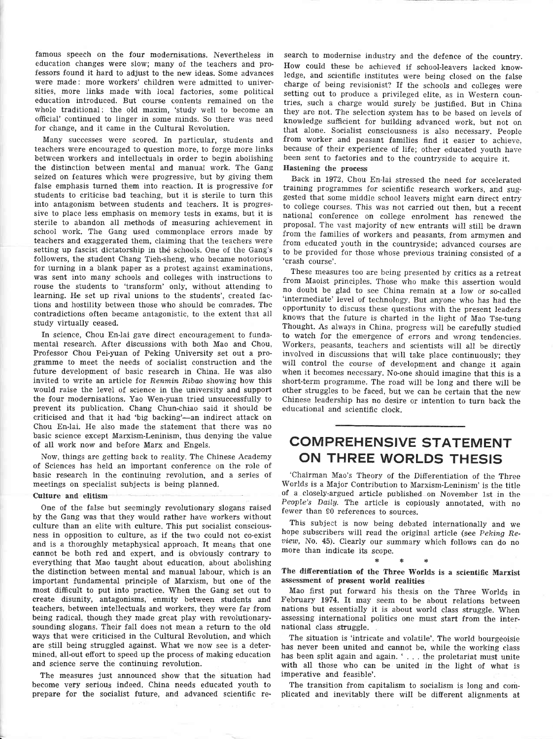famous speech on the four modernisations. Nevertheless in education changes were slow; many of the teachers and professors found it hard to adjust to the new ideas. Some advances were made: more workers' children were admitted to universities, more links made with local factories, some political education introduced. But course contents remained on the whole traditional: the old maxim, 'study well to become an official' continued to linger in some minds. So there was need for change, and it came in the Cultural Revolution.

Many successes were scored. In particular, students and teachers were encouraged to question more, to forge more links between workers and intellectuals in order to begin abolishing the distinction between mental and manual work. The Gang seized on features which were progressive, but by giving them false emphasis turned them into reaction. It is progressive for students to criticise bad teaching, but it is steriie to turn this into antagonism between students and ieachers. It is progressive to place less emphasis on memory tests in exams, but it is sterile to abandon all methods of measuring achievement in school work. The Gang used commonplace errors made by teachers and exaggerated them, claiming that the teachers were setting up fascist dictatorship in the schools. One of the Gang's followers, the student Chang Tieh-sheng, who became notorious for turning in a blank paper as a protest against examinations, was sent into many schools and colleges with instructions to rouse the students to 'transform' only, without attending to learning. He set up rival unions to the students', created factions and hostility between those who should be comrades. The contradictions often became antagonistic, to the extent that all study virtually ceased.

In science, Chou En-lai gave direct encouragement to fundamental research. After discussions with both Mao and Chou, Professor Chou Pei-yuan of Peking University set out a programme to meet the needs of socialist construction and the future development of basic research in China. He was also invited to write an article for Renmin Ribao showing how this would raise the level of science in the university and support the four modernisations. Yao Wen-yuan tried unsuccessfully to prevent its publication. Chang Chun-chiao said it should be criticised and that it had 'big backing'-an indirect attack on Chou En-lai. He also made the statement that there was no basic science except Marxism-Leninism, thus denying the value of all work now and before Marx and Engels.

Now, things are getting back to reality. The Chinese Academy of Sciences has held an important conference on the role of basic research in the continuing revolution, and a series of meetings on specialist subjects is being planned.

#### Culture and elitism

One of the false but seemingly revolutionary slogans raised by the Gang was that they would rather have workers without culture than an elite with culture. This put socialist consciousness in opposition to culture, as if the two could not co-exist and is a thoroughly metaphysical approach. It means that one cannot be both red and expert, and is obviously contrary to everything that Mao taught about education, about abolishing the distinction between mental and manual labour, which is an important fundanrental principle of Marxism, but one of the most difficult to put into practice. When the Gang set out to create disunity, antagonisms, enmity between students and teachers, between intellectuals and workers, they were far from being radical, though they made great play with revolutionarysounding slogans. Their fall does not mean a return to the old ways that were criticised in the Cultural Revolution, and which are still being struggled against. What we now see is a determined, all-out efiort to speed up the process of making education and science serve the continuing revolution.

The measures just announced show that the situation had become very serious indeed. China needs educated youth to prepare for the socialist future, and advanced scientific re-

search to modernise industry and the defence of the country. How could these be achieved if school-leavers lacked knowledge, and scientific institutes were being closed on the false charge of being revisionist? If the schools and colleges were setting out to produce a privileged elite, as in Western countries, such a charge would surely be justified. But in China they are not. The selection system has to be based on levels of knowledge sufficient for building advanced work, but not on that alone. Socialist consciousness is also necessary. people from worker and peasant families find it easier to achieve, because of their experience of life; other educated youth have been sent to factories and to the countryside to acquire it. Hastening the process

Back in 1972, Chou En-lai stressed the need for accelerated training programmes for scientific research workers, and suggested that some middle school leavers might earn direct entry to college courses. This was not carried out then, but a recent national conference on college enrolment has renewed the proposal. The vast majority of new entrants will stilt be drawn from the families of workers and peasants, from armymen and from educated youth in the countryside; advanced courses are to be provided for those whose previous training consisted of <sup>a</sup> 'crash course'.

These measures too are being presented by critics as a retreat from Maoist principles. Those who make this assertion would no doubt be glad to see China remain at a low or so-called 'intermediate' level of technology. But anyone who has had the opportunity to discuss these questions with the present leaders knows that the future is charted in the light of Mao Tse-tung Thought. As always in China, progress will be carefully studied to watch for the emergence of errors and wrong tendencies. Workers, peasants, teachers and scientists will all be directly involved in discussions that will take place continuously; they will control the course of development and change it again when it becomes necessary. No-one should imagine that this is <sup>a</sup> short-term programme. The road wiil be long and there will be other struggles to be faced, but we can be certain that the new Chinese leadership has no desire or intention to turn back the educational and scientific clock.

# COMPREHENSIVE STATEMENT ON THREE WORLDS THESIS

'Chairman Mao's Theory of the Differentiation of the Three of a closely-argued article published on November 1st in the People's Daily. The article is copiously annotated, with no fewer than 90 references to sources.

This subject is now being debated internationally and we hope subscribers will read the original article (see Peking Re $view$ , No. 45). Clearly our summary which follows can do no more than indicate its scope.

# \* \*

# The differentiation of the Three Worlds is a scientific Marxist assessment of prosent world realities

Mao first put forward his thesis on the Three Worlds in February 1974. It may seem to be about relations between nations but essentially it is about world class struggle. When assessing international politics one must start from the international class struggle.

The situation is 'intricate and volatile'. The world bourgeoisie has never been united and cannot be, while the working class has been split again and again. ' . . . the proletariat must unite with all those who can be united in the Iight of what is imperative and feasible'.

The transition from capitalism to socialism is long and complicated and inevitably there will be different alignments at